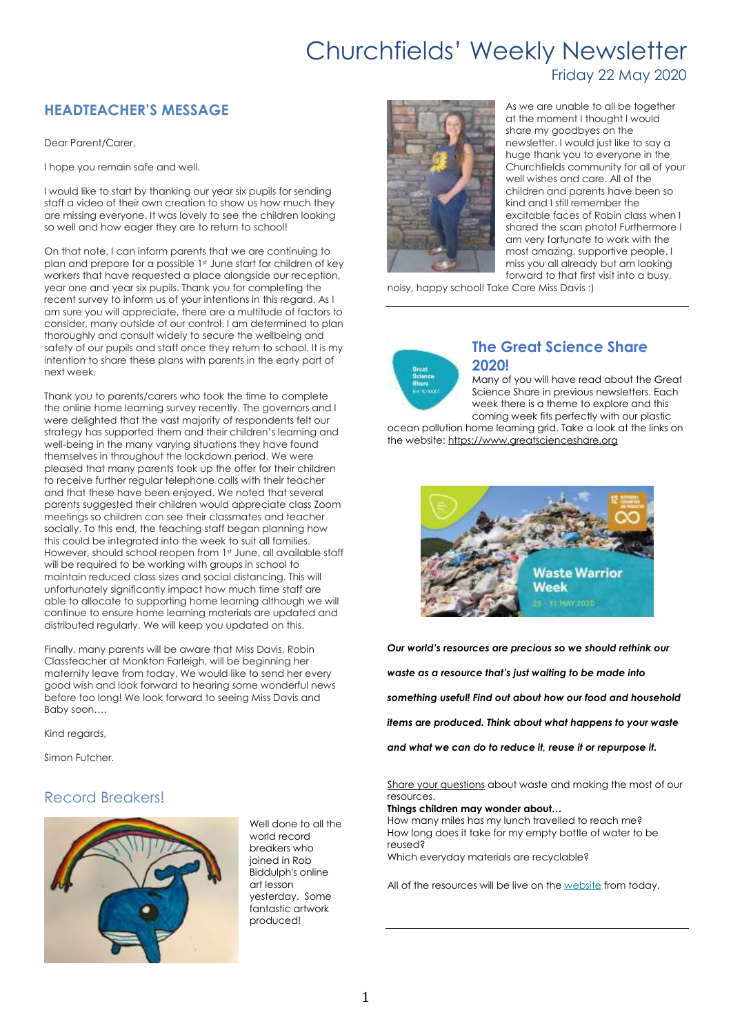Friday 22 May 2020

### **HEADTEACHER'S MESSAGE**

Dear Parent/Carer,

I hope you remain safe and well.

I would like to start by thanking our year six pupils for sending staff a video of their own creation to show us how much they are missing everyone. It was lovely to see the children looking so well and how eager they are to return to school!

On that note, I can inform parents that we are continuing to plan and prepare for a possible 1st June start for children of key workers that have requested a place alongside our reception, year one and year six pupils. Thank you for completing the recent survey to inform us of your intentions in this regard. As I am sure you will appreciate, there are a multitude of factors to consider, many outside of our control. I am determined to plan thoroughly and consult widely to secure the wellbeing and safety of our pupils and staff once they return to school. It is my intention to share these plans with parents in the early part of next week.

Thank you to parents/carers who took the time to complete the online home learning survey recently. The governors and I were delighted that the vast majority of respondents felt our strategy has supported them and their children's learning and well-being in the many varying situations they have found themselves in throughout the lockdown period. We were pleased that many parents took up the offer for their children to receive further regular telephone calls with their teacher and that these have been enjoyed. We noted that several parents suggested their children would appreciate class Zoom meetings so children can see their classmates and teacher socially. To this end, the teaching staff began planning how this could be integrated into the week to suit all families. However, should school reopen from 1st June, all available staff will be required to be working with groups in school to maintain reduced class sizes and social distancing. This will unfortunately significantly impact how much time staff are able to allocate to supporting home learning although we will continue to ensure home learning materials are updated and distributed regularly. We will keep you updated on this.

Finally, many parents will be aware that Miss Davis, Robin Classteacher at Monkton Farleigh, will be beginning her maternity leave from today. We would like to send her every good wish and look forward to hearing some wonderful news before too long! We look forward to seeing Miss Davis and Baby soon….

Kind regards,

Simon Futcher.

#### Record Breakers!



Well done to all the world record breakers who joined in Rob Biddulph's online art lesson yesterday. Some fantastic artwork produced!



As we are unable to all be together at the moment I thought I would share my goodbyes on the newsletter. I would just like to say a huge thank you to everyone in the Churchfields community for all of your well wishes and care. All of the children and parents have been so kind and I still remember the excitable faces of Robin class when I shared the scan photo! Furthermore I am very fortunate to work with the most amazing, supportive people. I miss you all already but am looking forward to that first visit into a busy,

noisy, happy school! Take Care Miss Davis :)



#### **The Great Science Share 2020!**

Many of you will have read about the Great Science Share in previous newsletters. Each week there is a theme to explore and this coming week fits perfectly with our plastic

ocean pollution home learning grid. Take a look at the links on the website: [https://www.greatscienceshare.org](https://www.greatscienceshare.org/)



*Our world's resources are precious so we should rethink our waste as a resource that's just waiting to be made into something useful! Find out about how our food and household items are produced. Think about what happens to your waste and what we can do to reduce it, reuse it or repurpose it.*

Share your [questions](https://manchester.us15.list-manage.com/track/click?u=b14993ff2c401297dbccb0741&id=6f58f720dc&e=db075d650d) about waste and making the most of our resources.

#### **Things children may wonder about…**

How many miles has my lunch travelled to reach me? How long does it take for my empty bottle of water to be reused? Which everyday materials are recyclable?

All of the resources will be live on the [website](https://manchester.us15.list-manage.com/track/click?u=b14993ff2c401297dbccb0741&id=b978174945&e=db075d650d) from today.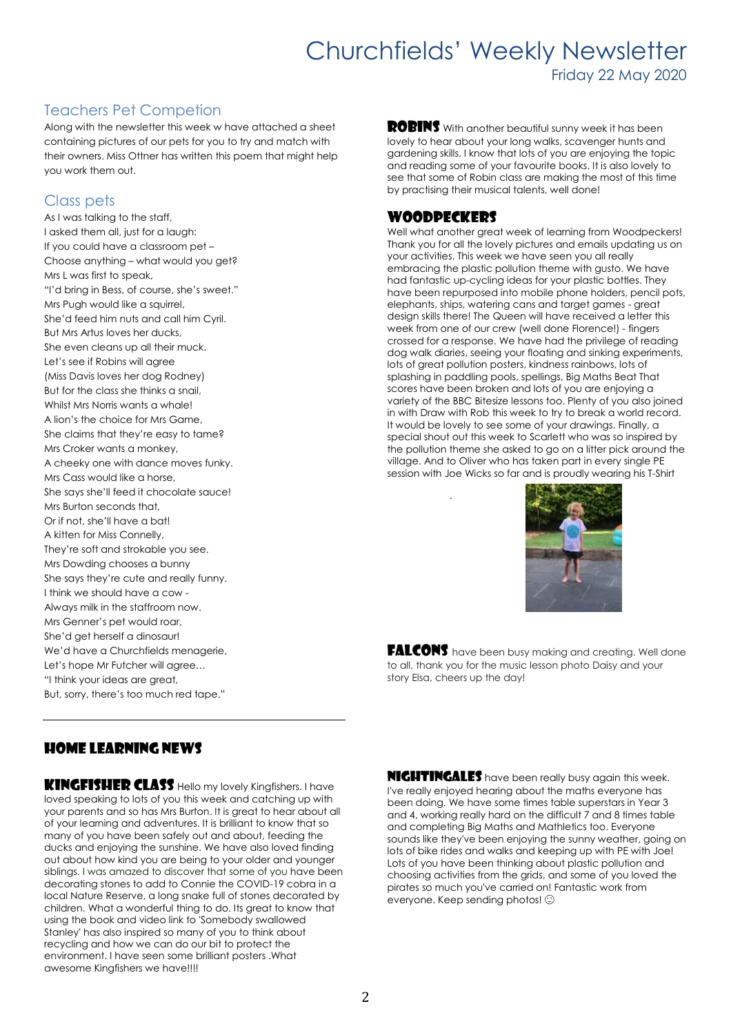Friday 22 May 2020

#### Teachers Pet Competion

Along with the newsletter this week w have attached a sheet containing pictures of our pets for you to try and match with their owners. Miss Ottner has written this poem that might help you work them out.

#### Class pets

As I was talking to the staff, I asked them all, just for a laugh: If you could have a classroom pet – Choose anything – what would you get? Mrs L was first to speak, "I'd bring in Bess, of course, she's sweet." Mrs Pugh would like a squirrel, She'd feed him nuts and call him Cyril. But Mrs Artus loves her ducks, She even cleans up all their muck. Let's see if Robins will agree (Miss Davis loves her dog Rodney) But for the class she thinks a snail, Whilst Mrs Norris wants a whale! A lion's the choice for Mrs Game, She claims that they're easy to tame? Mrs Croker wants a monkey, A cheeky one with dance moves funky. Mrs Cass would like a horse, She says she'll feed it chocolate sauce! Mrs Burton seconds that, Or if not, she'll have a bat! A kitten for Miss Connelly, They're soft and strokable you see. Mrs Dowding chooses a bunny She says they're cute and really funny. I think we should have a cow -Always milk in the staffroom now. Mrs Genner's pet would roar, She'd get herself a dinosaur! We'd have a Churchfields menagerie, Let's hope Mr Futcher will agree… "I think your ideas are great, But, sorry, there's too much red tape."

ROBINS With another beautiful sunny week it has been lovely to hear about your long walks, scavenger hunts and gardening skills. I know that lots of you are enjoying the topic and reading some of your favourite books. It is also lovely to see that some of Robin class are making the most of this time by practising their musical talents, well done!

#### Woodpeckers

.

Well what another areat week of learning from Woodpeckers! Thank you for all the lovely pictures and emails updating us on your activities. This week we have seen you all really embracing the plastic pollution theme with gusto. We have had fantastic up-cycling ideas for your plastic bottles. They have been repurposed into mobile phone holders, pencil pots, elephants, ships, watering cans and target games - great design skills there! The Queen will have received a letter this week from one of our crew (well done Florence!) - fingers crossed for a response. We have had the privilege of reading dog walk diaries, seeing your floating and sinking experiments, lots of great pollution posters, kindness rainbows, lots of splashing in paddling pools, spellings, Big Maths Beat That scores have been broken and lots of you are enjoying a variety of the BBC Bitesize lessons too. Plenty of you also joined in with Draw with Rob this week to try to break a world record. It would be lovely to see some of your drawings. Finally, a special shout out this week to Scarlett who was so inspired by the pollution theme she asked to go on a litter pick around the village. And to Oliver who has taken part in every single PE session with Joe Wicks so far and is proudly wearing his T-Shirt



**FALCONS** have been busy making and creating. Well done to all, thank you for the music lesson photo Daisy and your story Elsa, cheers up the day!

#### Home learning news

KINGFISHER CLASS Hello my lovely Kingfishers. I have loved speaking to lots of you this week and catching up with your parents and so has Mrs Burton. It is great to hear about all of your learning and adventures. It is brilliant to know that so many of you have been safely out and about, feeding the ducks and enjoying the sunshine. We have also loved finding out about how kind you are being to your older and younger siblings. I was amazed to discover that some of you have been decorating stones to add to Connie the COVID-19 cobra in a local Nature Reserve, a long snake full of stones decorated by children. What a wonderful thing to do. Its great to know that using the book and video link to 'Somebody swallowed Stanley' has also inspired so many of you to think about recycling and how we can do our bit to protect the environment. I have seen some brilliant posters .What awesome Kingfishers we have!!!!

**NIGHTINGALES** have been really busy again this week. I've really enjoyed hearing about the maths everyone has been doing. We have some times table superstars in Year 3 and 4, working really hard on the difficult 7 and 8 times table and completing Big Maths and Mathletics too. Everyone sounds like they've been enjoying the sunny weather, going on lots of bike rides and walks and keeping up with PE with Joe! Lots of you have been thinking about plastic pollution and choosing activities from the grids, and some of you loved the pirates so much you've carried on! Fantastic work from everyone. Keep sending photos!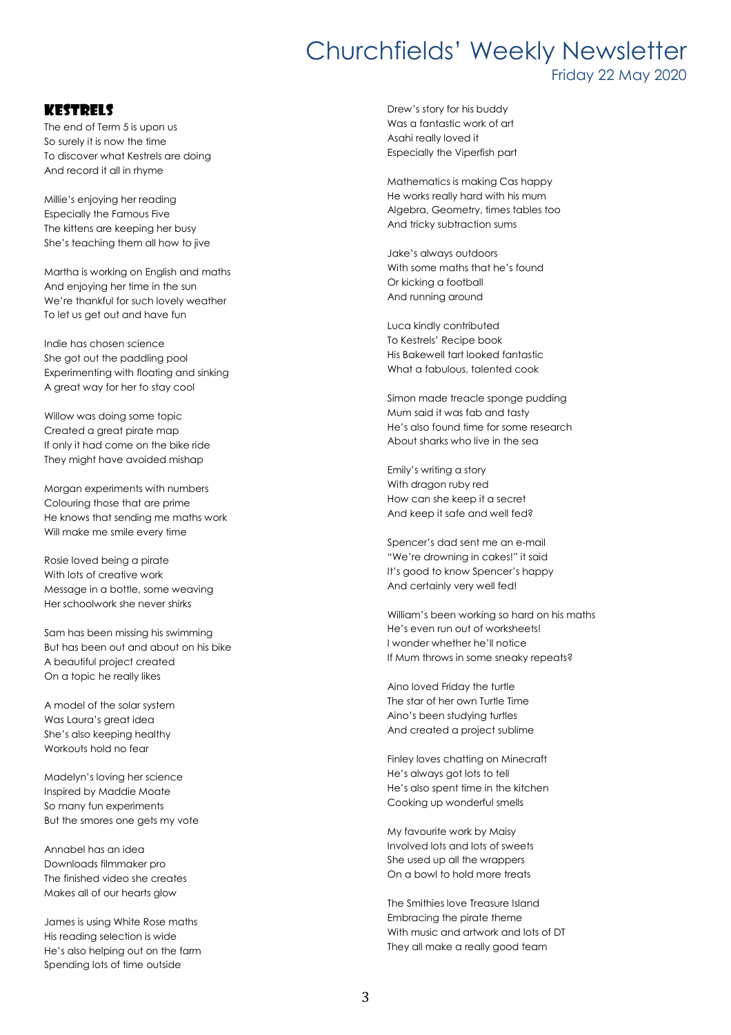Friday 22 May 2020

#### **KESTRELS**

The end of Term 5 is upon us So surely it is now the time To discover what Kestrels are doing And record it all in rhyme

Millie's enjoying her reading Especially the Famous Five The kittens are keeping her busy She's teaching them all how to jive

Martha is working on English and maths And enjoying her time in the sun We're thankful for such lovely weather To let us get out and have fun

Indie has chosen science She got out the paddling pool Experimenting with floating and sinking A great way for her to stay cool

Willow was doing some topic Created a great pirate map If only it had come on the bike ride They might have avoided mishap

Morgan experiments with numbers Colouring those that are prime He knows that sending me maths work Will make me smile every time

Rosie loved being a pirate With lots of creative work Message in a bottle, some weaving Her schoolwork she never shirks

Sam has been missing his swimming But has been out and about on his bike A beautiful project created On a topic he really likes

A model of the solar system Was Laura's great idea She's also keeping healthy Workouts hold no fear

Madelyn's loving her science Inspired by Maddie Moate So many fun experiments But the smores one gets my vote

Annabel has an idea Downloads filmmaker pro The finished video she creates Makes all of our hearts glow

James is using White Rose maths His reading selection is wide He's also helping out on the farm Spending lots of time outside

Drew's story for his buddy Was a fantastic work of art Asahi really loved it Especially the Viperfish part

Mathematics is making Cas happy He works really hard with his mum Algebra, Geometry, times tables too And tricky subtraction sums

Jake's always outdoors With some maths that he's found Or kicking a football And running around

Luca kindly contributed To Kestrels' Recipe book His Bakewell tart looked fantastic What a fabulous, talented cook

Simon made treacle sponge pudding Mum said it was fab and tasty He's also found time for some research About sharks who live in the sea

Emily's writing a story With dragon ruby red How can she keep it a secret And keep it safe and well fed?

Spencer's dad sent me an e-mail "We're drowning in cakes!" it said It's good to know Spencer's happy And certainly very well fed!

William's been working so hard on his maths He's even run out of worksheets! I wonder whether he'll notice If Mum throws in some sneaky repeats?

Aino loved Friday the turtle The star of her own Turtle Time Aino's been studying turtles And created a project sublime

Finley loves chatting on Minecraft He's always got lots to tell He's also spent time in the kitchen Cooking up wonderful smells

My favourite work by Maisy Involved lots and lots of sweets She used up all the wrappers On a bowl to hold more treats

The Smithies love Treasure Island Embracing the pirate theme With music and artwork and lots of DT They all make a really good team